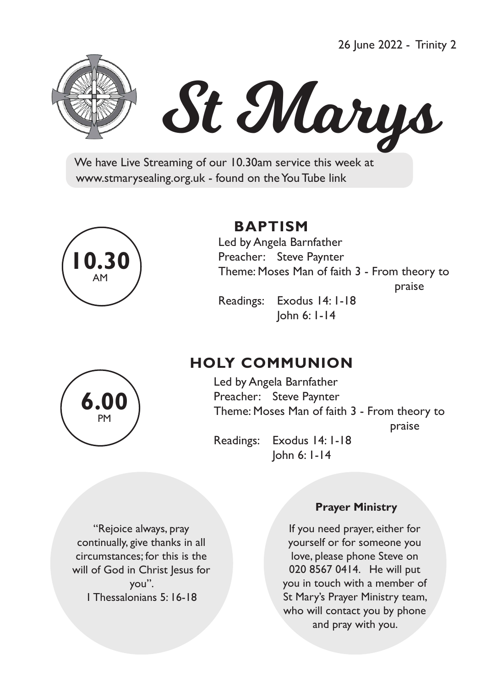26 June 2022 - Trinity 2



# St Marys

 We have Live Streaming of our 10.30am service this week at www.stmarysealing.org.uk - found on the You Tube link



# **BAPTISM**

 Led by Angela Barnfather Preacher: Steve Paynter Theme: Moses Man of faith 3 - From theory to praise that the contract of the praise of the contract of the contract of the contract of the contract of the c Readings: Exodus 14: 1-18

John 6: 1-14

# **HOLY COMMUNION**

Led by Angela Barnfather Preacher: Steve Paynter Theme: Moses Man of faith 3 - From theory to

praise that the contract of the contract of the praise

 Readings: Exodus 14: 1-18 John 6: 1-14

"Rejoice always, pray continually, give thanks in all circumstances; for this is the will of God in Christ Jesus for you". 1 Thessalonians 5: 16-18

#### **Prayer Ministry**

If you need prayer, either for yourself or for someone you love, please phone Steve on 020 8567 0414. He will put you in touch with a member of St Mary's Prayer Ministry team, who will contact you by phone and pray with you.

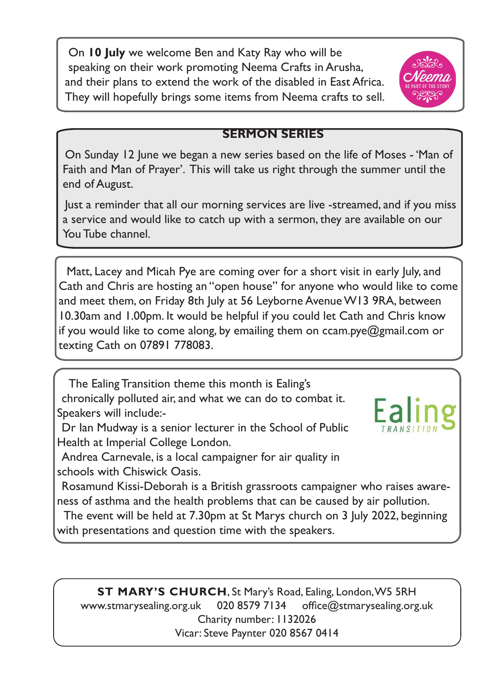On **10 July** we welcome Ben and Katy Ray who will be speaking on their work promoting Neema Crafts in Arusha, and their plans to extend the work of the disabled in East Africa. They will hopefully brings some items from Neema crafts to sell.



## **SERMON SERIES**

On Sunday 12 June we began a new series based on the life of Moses - 'Man of Faith and Man of Prayer'. This will take us right through the summer until the end of August.

Just a reminder that all our morning services are live -streamed, and if you miss a service and would like to catch up with a sermon, they are available on our You Tube channel.

 Matt, Lacey and Micah Pye are coming over for a short visit in early July, and Cath and Chris are hosting an "open house" for anyone who would like to come and meet them, on Friday 8th July at 56 Leyborne Avenue W13 9RA, between 10.30am and 1.00pm. It would be helpful if you could let Cath and Chris know if you would like to come along, by emailing them on ccam.pye@gmail.com or texting Cath on 07891 778083.

 The Ealing Transition theme this month is Ealing's chronically polluted air, and what we can do to combat it. Speakers will include:-

Dr Ian Mudway is a senior lecturer in the School of Public Health at Imperial College London.

Andrea Carnevale, is a local campaigner for air quality in schools with Chiswick Oasis.

Rosamund Kissi-Deborah is a British grassroots campaigner who raises awareness of asthma and the health problems that can be caused by air pollution.

 The event will be held at 7.30pm at St Marys church on 3 July 2022, beginning with presentations and question time with the speakers.

**ST MARY'S CHURCH**, St Mary's Road, Ealing, London, W5 5RH www.stmarysealing.org.uk 020 8579 7134 office@stmarysealing.org.uk Charity number: 1132026 Vicar: Steve Paynter 020 8567 0414